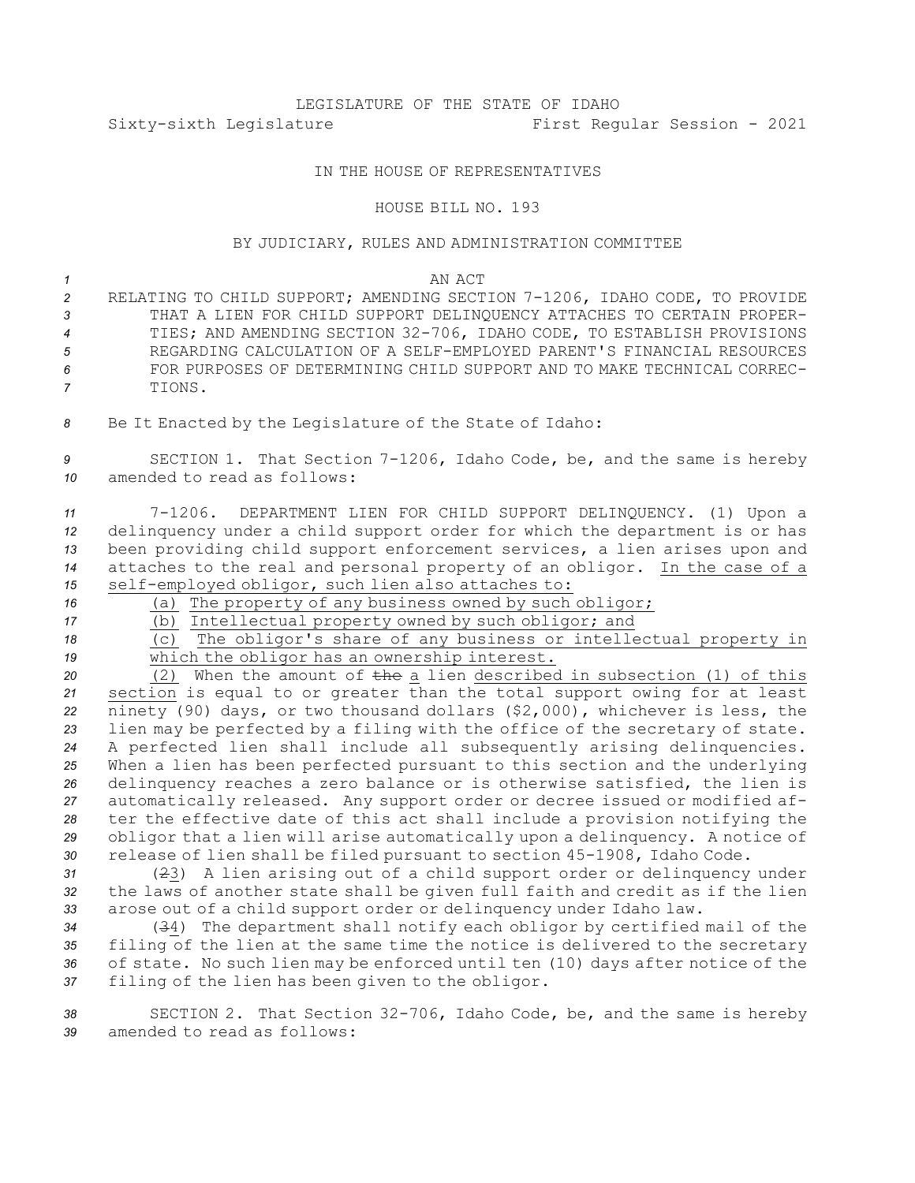# LEGISLATURE OF THE STATE OF IDAHO Sixty-sixth Legislature First Regular Session - 2021

## IN THE HOUSE OF REPRESENTATIVES

#### HOUSE BILL NO. 193

### BY JUDICIARY, RULES AND ADMINISTRATION COMMITTEE

#### *1* AN ACT

- *<sup>2</sup>* RELATING TO CHILD SUPPORT; AMENDING SECTION 7-1206, IDAHO CODE, TO PROVIDE *3* THAT A LIEN FOR CHILD SUPPORT DELINQUENCY ATTACHES TO CERTAIN PROPER-*<sup>4</sup>* TIES; AND AMENDING SECTION 32-706, IDAHO CODE, TO ESTABLISH PROVISIONS *5* REGARDING CALCULATION OF A SELF-EMPLOYED PARENT'S FINANCIAL RESOURCES *6* FOR PURPOSES OF DETERMINING CHILD SUPPORT AND TO MAKE TECHNICAL CORREC-*7* TIONS.
- *<sup>8</sup>* Be It Enacted by the Legislature of the State of Idaho:

*<sup>9</sup>* SECTION 1. That Section 7-1206, Idaho Code, be, and the same is hereby *10* amended to read as follows:

 7-1206. DEPARTMENT LIEN FOR CHILD SUPPORT DELINQUENCY. (1) Upon <sup>a</sup> delinquency under <sup>a</sup> child support order for which the department is or has been providing child support enforcement services, <sup>a</sup> lien arises upon and attaches to the real and personal property of an obligor. In the case of <sup>a</sup> self-employed obligor, such lien also attaches to:

*<sup>16</sup>* (a) The property of any business owned by such obligor;

17 (b) Intellectual property owned by such obligor; and

*<sup>18</sup>* (c) The obligor's share of any business or intellectual property in *<sup>19</sup>* which the obligor has an ownership interest.

 (2) When the amount of the <sup>a</sup> lien described in subsection (1) of this section is equal to or greater than the total support owing for at least ninety (90) days, or two thousand dollars (\$2,000), whichever is less, the lien may be perfected by <sup>a</sup> filing with the office of the secretary of state. <sup>A</sup> perfected lien shall include all subsequently arising delinquencies. When <sup>a</sup> lien has been perfected pursuant to this section and the underlying delinquency reaches <sup>a</sup> zero balance or is otherwise satisfied, the lien is automatically released. Any support order or decree issued or modified af- ter the effective date of this act shall include <sup>a</sup> provision notifying the obligor that <sup>a</sup> lien will arise automatically upon <sup>a</sup> delinquency. <sup>A</sup> notice of release of lien shall be filed pursuant to section 45-1908, Idaho Code.

*<sup>31</sup>* (23) <sup>A</sup> lien arising out of <sup>a</sup> child support order or delinquency under *<sup>32</sup>* the laws of another state shall be given full faith and credit as if the lien *<sup>33</sup>* arose out of <sup>a</sup> child support order or delinquency under Idaho law.

 (34) The department shall notify each obligor by certified mail of the filing of the lien at the same time the notice is delivered to the secretary of state. No such lien may be enforced until ten (10) days after notice of the filing of the lien has been given to the obligor.

*<sup>38</sup>* SECTION 2. That Section 32-706, Idaho Code, be, and the same is hereby *39* amended to read as follows: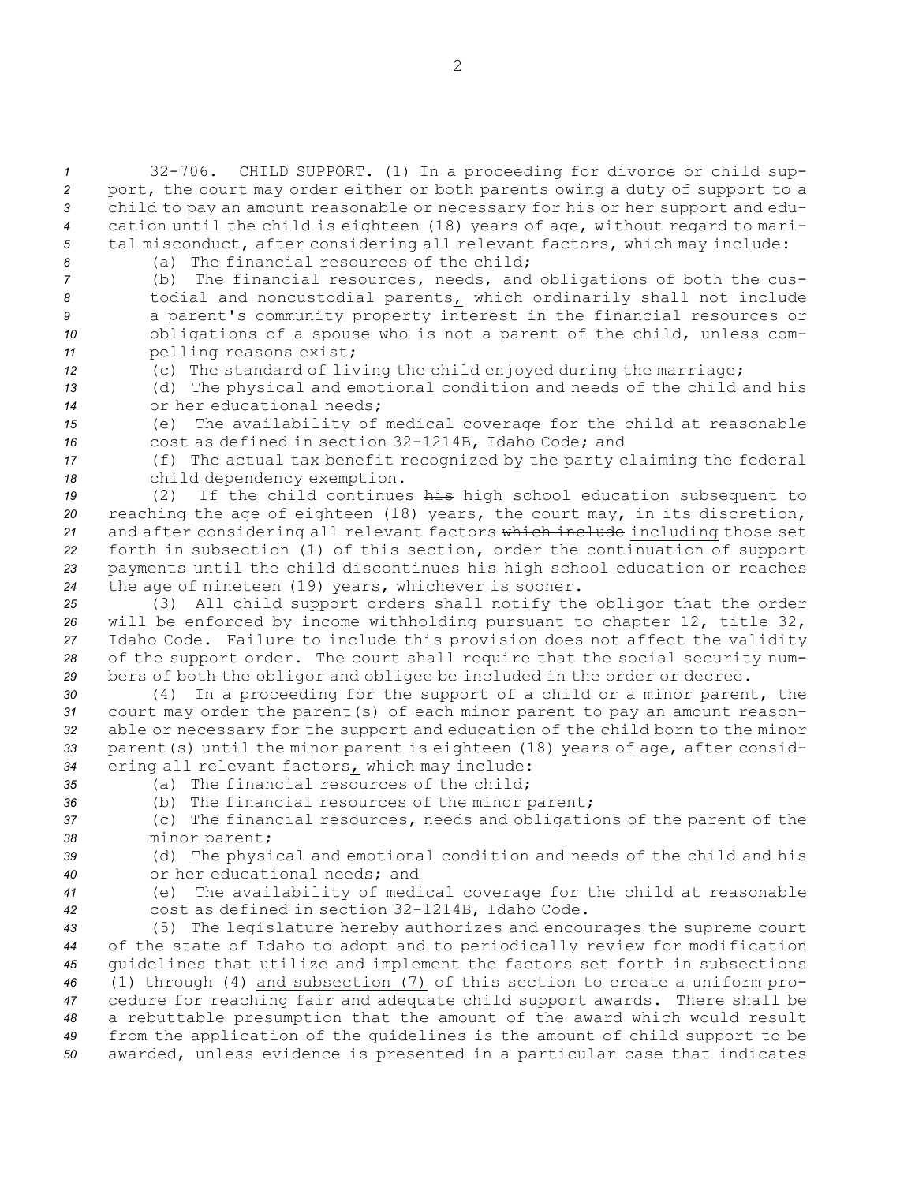32-706. CHILD SUPPORT. (1) In <sup>a</sup> proceeding for divorce or child sup- port, the court may order either or both parents owing <sup>a</sup> duty of support to <sup>a</sup> child to pay an amount reasonable or necessary for his or her support and edu- cation until the child is eighteen (18) years of age, without regard to mari-tal misconduct, after considering all relevant factors, which may include:

*6* (a) The financial resources of the child;

 (b) The financial resources, needs, and obligations of both the cus- todial and noncustodial parents, which ordinarily shall not include <sup>a</sup> parent's community property interest in the financial resources or obligations of <sup>a</sup> spouse who is not <sup>a</sup> parent of the child, unless com-pelling reasons exist;

*<sup>12</sup>* (c) The standard of living the child enjoyed during the marriage;

*<sup>13</sup>* (d) The physical and emotional condition and needs of the child and his *14* or her educational needs;

*<sup>15</sup>* (e) The availability of medical coverage for the child at reasonable *<sup>16</sup>* cost as defined in section 32-1214B, Idaho Code; and

*<sup>17</sup>* (f) The actual tax benefit recognized by the party claiming the federal *<sup>18</sup>* child dependency exemption.

 (2) If the child continues his high school education subsequent to reaching the age of eighteen (18) years, the court may, in its discretion, 21 and after considering all relevant factors which include including those set forth in subsection (1) of this section, order the continuation of support payments until the child discontinues his high school education or reaches the age of nineteen (19) years, whichever is sooner.

 (3) All child support orders shall notify the obligor that the order will be enforced by income withholding pursuant to chapter 12, title 32, Idaho Code. Failure to include this provision does not affect the validity of the support order. The court shall require that the social security num-bers of both the obligor and obligee be included in the order or decree.

 (4) In <sup>a</sup> proceeding for the support of <sup>a</sup> child or <sup>a</sup> minor parent, the court may order the parent(s) of each minor parent to pay an amount reason- able or necessary for the support and education of the child born to the minor parent(s) until the minor parent is eighteen (18) years of age, after consid-ering all relevant factors, which may include:

*35* (a) The financial resources of the child;

*<sup>36</sup>* (b) The financial resources of the minor parent;

*<sup>37</sup>* (c) The financial resources, needs and obligations of the parent of the *<sup>38</sup>* minor parent;

*<sup>39</sup>* (d) The physical and emotional condition and needs of the child and his *40* or her educational needs; and

*<sup>41</sup>* (e) The availability of medical coverage for the child at reasonable *<sup>42</sup>* cost as defined in section 32-1214B, Idaho Code.

 (5) The legislature hereby authorizes and encourages the supreme court of the state of Idaho to adopt and to periodically review for modification guidelines that utilize and implement the factors set forth in subsections (1) through (4) and subsection (7) of this section to create <sup>a</sup> uniform pro- cedure for reaching fair and adequate child support awards. There shall be <sup>a</sup> rebuttable presumption that the amount of the award which would result from the application of the guidelines is the amount of child support to be awarded, unless evidence is presented in <sup>a</sup> particular case that indicates